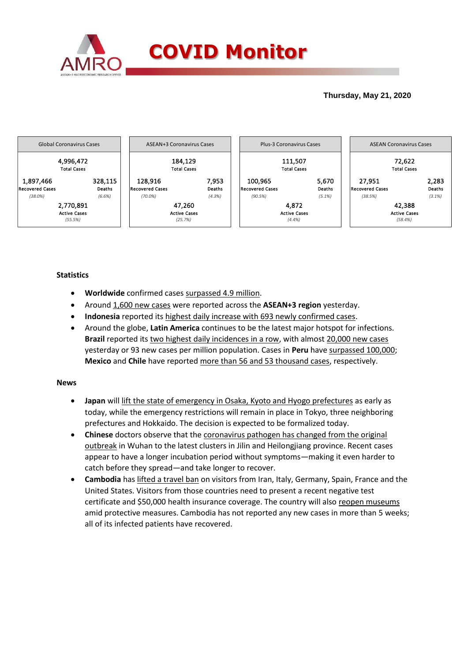

## **Thursday, May 21, 2020**



# **Statistics**

- **Worldwide** confirmed cases surpassed 4.9 million.
- Around 1,600 new cases were reported across the **ASEAN+3 region** yesterday.
- **Indonesia** reported its highest daily increase with 693 newly confirmed cases.
- Around the globe, **Latin America** continues to be the latest major hotspot for infections. Brazil reported its two highest daily incidences in a row, with almost 20,000 new cases yesterday or 93 new cases per million population. Cases in **Peru** have surpassed 100,000; **Mexico** and **Chile** have reported more than 56 and 53 thousand cases, respectively.

### **News**

- **Japan** will lift the state of emergency in Osaka, Kyoto and Hyogo prefectures as early as today, while the emergency restrictions will remain in place in Tokyo, three neighboring prefectures and Hokkaido. The decision is expected to be formalized today.
- **Chinese** doctors observe that the coronavirus pathogen has changed from the original outbreak in Wuhan to the latest clusters in Jilin and Heilongjiang province. Recent cases appear to have a longer incubation period without symptoms—making it even harder to catch before they spread—and take longer to recover.
- **Cambodia** has lifted a travel ban on visitors from Iran, Italy, Germany, Spain, France and the United States. Visitors from those countries need to present a recent negative test certificate and \$50,000 health insurance coverage. The country will also reopen museums amid protective measures. Cambodia has not reported any new cases in more than 5 weeks; all of its infected patients have recovered.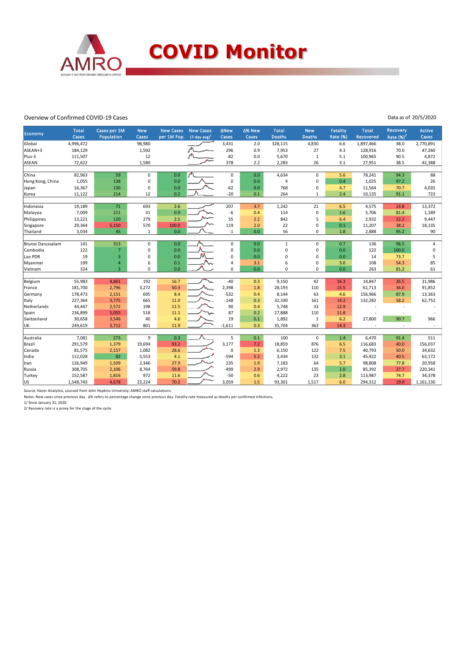

#### Overview of Confirmed COVID-19 Cases

Data as of 20/5/2020

|                   | <b>Total</b> | Cases per 1M   | <b>New</b>  | <b>New Cases</b> | <b>New Cases</b>    | <b>ANew</b>    | ∆% New | <b>Total</b>  | <b>New</b>    | <b>Fatality</b> | <b>Total</b> | Recovery                 | Active    |
|-------------------|--------------|----------------|-------------|------------------|---------------------|----------------|--------|---------------|---------------|-----------------|--------------|--------------------------|-----------|
| Economy           | Cases        | Population     | Cases       | per 1M Pop.      | $(7$ -day avg $)^1$ | Cases          | Cases  | <b>Deaths</b> | <b>Deaths</b> | <b>Rate (%)</b> | Recovered    | Rate $(%)2$              | Cases     |
| Global            | 4,996,472    |                | 98,980      |                  |                     | 3,431          | 2.0    | 328,115       | 4,830         | 6.6             | 1,897,466    | 38.0                     | 2,770,891 |
| ASEAN+3           | 184,129      |                | 1,592       |                  |                     | 296            | 0.9    | 7,953         | 27            | 4.3             | 128,916      | 70.0                     | 47,260    |
| Plus-3            | 111,507      |                | 12          |                  |                     | $-82$          | 0.0    | 5,670         | $\mathbf{1}$  | 5.1             | 100,965      | 90.5                     | 4,872     |
| <b>ASEAN</b>      | 72,622       |                | 1,580       |                  |                     | 378            | 2.2    | 2,283         | 26            | 3.1             | 27,951       | 38.5                     | 42,388    |
|                   |              |                |             |                  |                     |                |        |               |               |                 |              |                          |           |
| China             | 82,963       | 59             | $\pmb{0}$   | 0.0              | $\sim$              | $\pmb{0}$      | 0.0    | 4,634         | $\mathbf 0$   | 5.6             | 78,241       | 94.3                     | 88        |
| Hong Kong, China  | 1,055        | 138            | $\pmb{0}$   | 0.0              |                     | 0              | 0.0    | 4             | 0             | 0.4             | 1,025        | 97.2                     | 26        |
| Japan             | 16,367       | 130            | $\mathbf 0$ | 0.0              |                     | $-62$          | 0.0    | 768           | 0             | 4.7             | 11,564       | 70.7                     | 4,035     |
| Korea             | 11,122       | 214            | 12          | 0.2              |                     | $-20$          | 0.1    | 264           | $\mathbf{1}$  | 2.4             | 10,135       | 91.1                     | 723       |
|                   |              |                |             |                  |                     |                |        |               |               |                 |              |                          |           |
| Indonesia         | 19,189       | 71             | 693         | 2.6              |                     | 207            | 3.7    | 1,242         | 21            | 6.5             | 4,575        | 23.8                     | 13,372    |
| Malaysia          | 7,009        | 211            | 31          | 0.9              |                     | -6             | 0.4    | 114           | 0             | 1.6             | 5,706        | 81.4                     | 1,189     |
| Philippines       | 13,221       | 120            | 279         | 2.5              |                     | 55             | 2.2    | 842           | 5             | 6.4             | 2,932        | 22.2                     | 9,447     |
| Singapore         | 29,364       | 5,150          | 570         | 100.0            |                     | 119            | 2.0    | 22            | 0             | 0.1             | 11,207       | 38.2                     | 18,135    |
| Thailand          | 3,034        | 45             | 1           | 0.0              |                     | $-1$           | 0.0    | 56            | 0             | 1.8             | 2,888        | 95.2                     | 90        |
|                   |              |                |             |                  |                     |                |        |               |               |                 |              |                          |           |
| Brunei Darussalam | 141          | 313            | $\mathsf 0$ | 0.0              |                     | 0              | 0.0    | $\mathbf{1}$  | 0             | 0.7             | 136          | 96.5                     | 4         |
| Cambodia          | 122          | $\overline{7}$ | 0           | 0.0              |                     | $\Omega$       | 0.0    | 0             | 0             | 0.0             | 122          | 100.0                    | 0         |
| Lao PDR           | 19           | 3              | 0           | 0.0              |                     | $\mathbf 0$    | 0.0    | 0             | 0             | 0.0             | 14           | 73.7                     | 5         |
| Myanmar           | 199          | 4              | 6           | 0.1              |                     | $\overline{a}$ | 3.1    | 6             | 0             | 3.0             | 108          | 54.3                     | 85        |
| Vietnam           | 324          | $\overline{3}$ | 0           | 0.0              |                     | $\Omega$       | 0.0    | $\Omega$      | $\Omega$      | 0.0             | 263          | 81.2                     | 61        |
|                   |              |                |             |                  |                     |                |        |               |               |                 |              |                          |           |
| Belgium           | 55,983       | 4,861          | 192         | 16.7             |                     | $-40$          | 0.3    | 9,150         | 42            | 16.3            | 14,847       | 26.5                     | 31,986    |
| France            | 181,700      | 2,796          | 3,272       | 50.3             |                     | 2,398          | 1.8    | 28,193        | 110           | 15.5            | 61,713       | 34.0                     | 91,852    |
| Germany           | 178,473      | 2,151          | 695         | 8.4              |                     | $-532$         | 0.4    | 8,144         | 63            | 4.6             | 156,966      | 87.9                     | 13,363    |
| Italy             | 227,364      | 3,775          | 665         | 11.0             |                     | $-148$         | 0.3    | 32,330        | 161           | 14.2            | 132,282      | 58.2                     | 62,752    |
| Netherlands       | 44,447       | 2,572          | 198         | 11.5             |                     | 90             | 0.4    | 5,748         | 33            | 12.9            |              |                          |           |
| Spain             | 236,899      | 5,055          | 518         | 11.1             |                     | 87             | 0.2    | 27,888        | 110           | 11.8            |              |                          |           |
| Switzerland       | 30,658       | 3,546          | 40          | 4.6              |                     | 19             | 0.1    | 1,892         | $\mathbf{1}$  | 6.2             | 27,800       | 90.7                     | 966       |
| UK.               | 249,619      | 3,712          | 801         | 11.9             |                     | $-1,611$       | 0.3    | 35,704        | 363           | 14.3            |              | $\overline{\phantom{a}}$ | $\sim$    |
|                   |              |                |             |                  |                     |                |        |               |               |                 |              |                          |           |
| Australia         | 7,081        | 273            | 9           | 0.3              |                     | 5              | 0.1    | 100           | $\mathbf 0$   | 1.4             | 6,470        | 91.4                     | 511       |
| Brazil            | 291,579      | 1,379          | 19,694      | 93.2             |                     | 3,177          | 7.2    | 18,859        | 876           | 6.5             | 116,683      | 40.0                     | 156,037   |
| Canada            | 81,575       | 2,157          | 1,082       | 28.6             |                     | 0              | 1.3    | 6,150         | 122           | 7.5             | 40,793       | 50.0                     | 34,632    |
| India             | 112,028      | 82             | 5,553       | 4.1              |                     | $-594$         | 5.2    | 3,434         | 132           | 3.1             | 45,422       | 40.5                     | 63,172    |
| Iran              | 126,949      | 1,509          | 2,346       | 27.9             |                     | 235            | 1.9    | 7,183         | 64            | 5.7             | 98,808       | 77.8                     | 20,958    |
| Russia            | 308,705      | 2,106          | 8,764       | 59.8             |                     | $-499$         | 2.9    | 2,972         | 135           | $1.0$           | 85,392       | 27.7                     | 220,341   |
| Turkey            | 152,587      | 1,816          | 972         | 11.6             |                     | $-50$          | 0.6    | 4,222         | 23            | 2.8             | 113,987      | 74.7                     | 34,378    |
| US                | 1,548,743    | 4,678          | 23,224      | 70.2             |                     | 3,059          | 1.5    | 93,301        | 1,517         | 6.0             | 294,312      | 19.0                     | 1,161,130 |

Source: Haver Analytics, sourced from John Hopkins University; AMRO staff calculations.

Notes: New cases since previous day. Δ% refers to percentage change since previous day. Fatality rate measured as deaths per confirmed infections.<br>1/ Since January 31, 2020.<br>2/ Recovery rate is a proxy for the stage of the